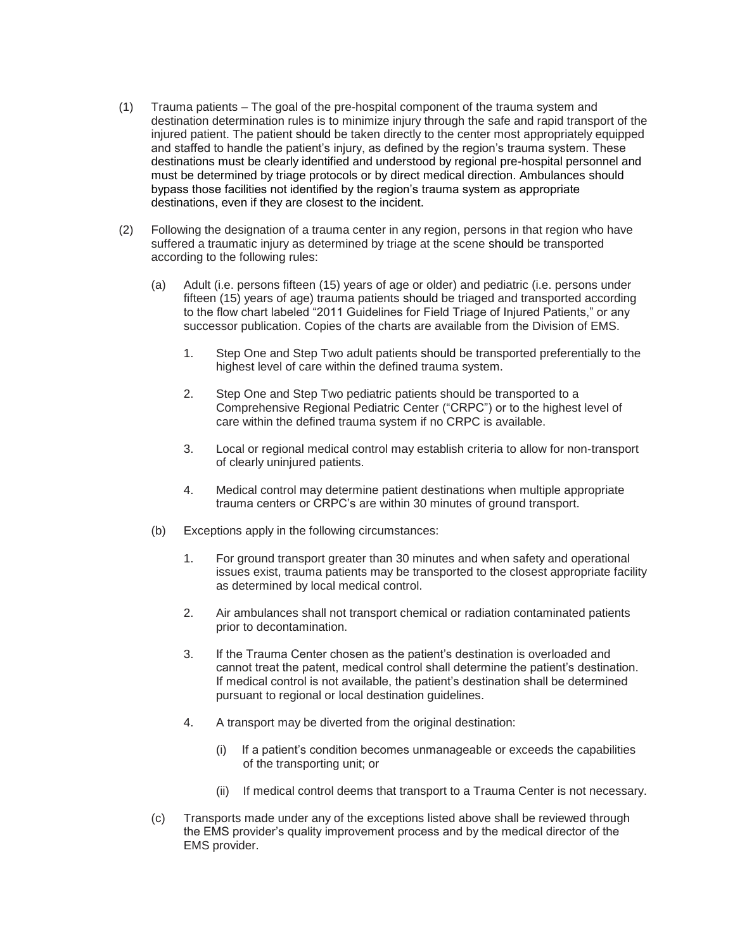- (1) Trauma patients The goal of the pre-hospital component of the trauma system and destination determination rules is to minimize injury through the safe and rapid transport of the injured patient. The patient should be taken directly to the center most appropriately equipped and staffed to handle the patient's injury, as defined by the region's trauma system. These destinations must be clearly identified and understood by regional pre-hospital personnel and must be determined by triage protocols or by direct medical direction. Ambulances should bypass those facilities not identified by the region's trauma system as appropriate destinations, even if they are closest to the incident.
- (2) Following the designation of a trauma center in any region, persons in that region who have suffered a traumatic injury as determined by triage at the scene should be transported according to the following rules:
	- (a) Adult (i.e. persons fifteen (15) years of age or older) and pediatric (i.e. persons under fifteen (15) years of age) trauma patients should be triaged and transported according to the flow chart labeled "2011 Guidelines for Field Triage of Injured Patients," or any successor publication. Copies of the charts are available from the Division of EMS.
		- 1. Step One and Step Two adult patients should be transported preferentially to the highest level of care within the defined trauma system.
		- 2. Step One and Step Two pediatric patients should be transported to a Comprehensive Regional Pediatric Center ("CRPC") or to the highest level of care within the defined trauma system if no CRPC is available.
		- 3. Local or regional medical control may establish criteria to allow for non-transport of clearly uninjured patients.
		- 4. Medical control may determine patient destinations when multiple appropriate trauma centers or CRPC's are within 30 minutes of ground transport.
	- (b) Exceptions apply in the following circumstances:
		- 1. For ground transport greater than 30 minutes and when safety and operational issues exist, trauma patients may be transported to the closest appropriate facility as determined by local medical control.
		- 2. Air ambulances shall not transport chemical or radiation contaminated patients prior to decontamination.
		- 3. If the Trauma Center chosen as the patient's destination is overloaded and cannot treat the patent, medical control shall determine the patient's destination. If medical control is not available, the patient's destination shall be determined pursuant to regional or local destination guidelines.
		- 4. A transport may be diverted from the original destination:
			- (i) If a patient's condition becomes unmanageable or exceeds the capabilities of the transporting unit; or
			- (ii) If medical control deems that transport to a Trauma Center is not necessary.
	- (c) Transports made under any of the exceptions listed above shall be reviewed through the EMS provider's quality improvement process and by the medical director of the EMS provider.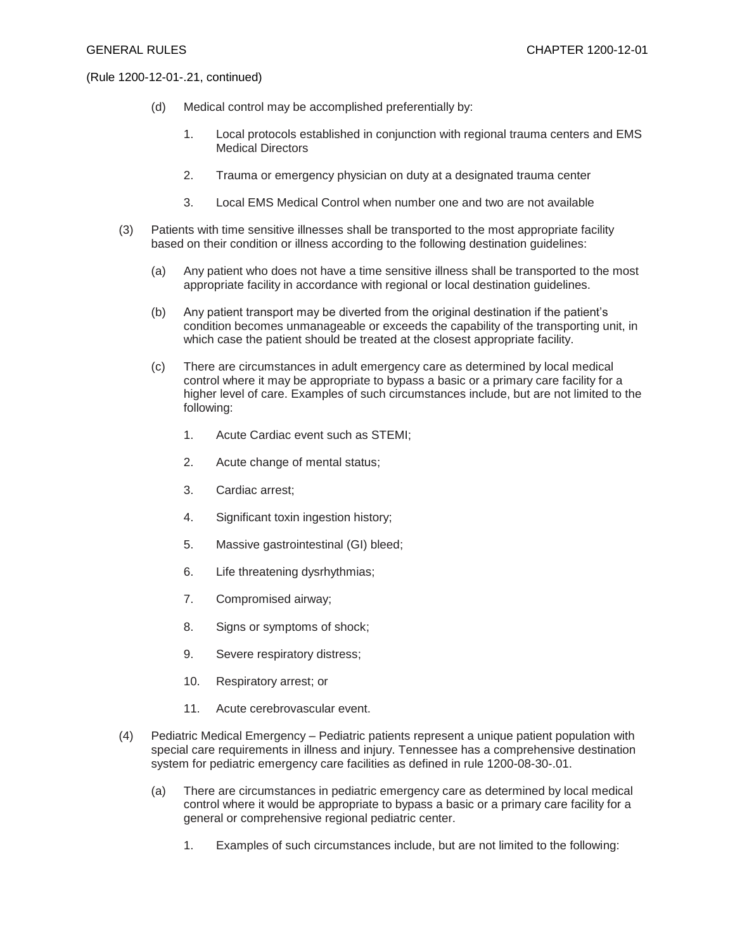(Rule 1200-12-01-.21, continued)

- (d) Medical control may be accomplished preferentially by:
	- 1. Local protocols established in conjunction with regional trauma centers and EMS Medical Directors
	- 2. Trauma or emergency physician on duty at a designated trauma center
	- 3. Local EMS Medical Control when number one and two are not available
- (3) Patients with time sensitive illnesses shall be transported to the most appropriate facility based on their condition or illness according to the following destination guidelines:
	- (a) Any patient who does not have a time sensitive illness shall be transported to the most appropriate facility in accordance with regional or local destination guidelines.
	- (b) Any patient transport may be diverted from the original destination if the patient's condition becomes unmanageable or exceeds the capability of the transporting unit, in which case the patient should be treated at the closest appropriate facility.
	- (c) There are circumstances in adult emergency care as determined by local medical control where it may be appropriate to bypass a basic or a primary care facility for a higher level of care. Examples of such circumstances include, but are not limited to the following:
		- 1. Acute Cardiac event such as STEMI;
		- 2. Acute change of mental status;
		- 3. Cardiac arrest;
		- 4. Significant toxin ingestion history;
		- 5. Massive gastrointestinal (GI) bleed;
		- 6. Life threatening dysrhythmias;
		- 7. Compromised airway;
		- 8. Signs or symptoms of shock;
		- 9. Severe respiratory distress;
		- 10. Respiratory arrest; or
		- 11. Acute cerebrovascular event.
- (4) Pediatric Medical Emergency Pediatric patients represent a unique patient population with special care requirements in illness and injury. Tennessee has a comprehensive destination system for pediatric emergency care facilities as defined in rule 1200-08-30-.01.
	- (a) There are circumstances in pediatric emergency care as determined by local medical control where it would be appropriate to bypass a basic or a primary care facility for a general or comprehensive regional pediatric center.
		- 1. Examples of such circumstances include, but are not limited to the following: